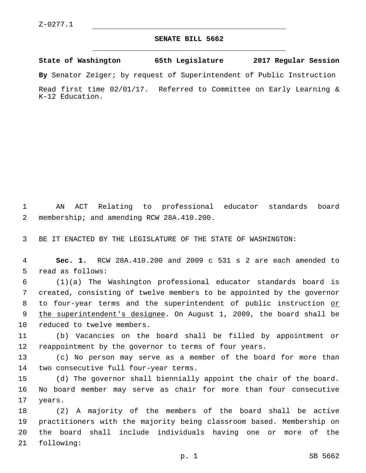## **SENATE BILL 5662**

**State of Washington 65th Legislature 2017 Regular Session**

**By** Senator Zeiger; by request of Superintendent of Public Instruction

Read first time 02/01/17. Referred to Committee on Early Learning & K-12 Education.

1 AN ACT Relating to professional educator standards board 2 membership; and amending RCW 28A.410.200.

3 BE IT ENACTED BY THE LEGISLATURE OF THE STATE OF WASHINGTON:

4 **Sec. 1.** RCW 28A.410.200 and 2009 c 531 s 2 are each amended to 5 read as follows:

6 (1)(a) The Washington professional educator standards board is 7 created, consisting of twelve members to be appointed by the governor 8 to four-year terms and the superintendent of public instruction or 9 the superintendent's designee. On August 1, 2009, the board shall be 10 reduced to twelve members.

11 (b) Vacancies on the board shall be filled by appointment or 12 reappointment by the governor to terms of four years.

13 (c) No person may serve as a member of the board for more than 14 two consecutive full four-year terms.

15 (d) The governor shall biennially appoint the chair of the board. 16 No board member may serve as chair for more than four consecutive 17 years.

 (2) A majority of the members of the board shall be active practitioners with the majority being classroom based. Membership on the board shall include individuals having one or more of the 21 following: